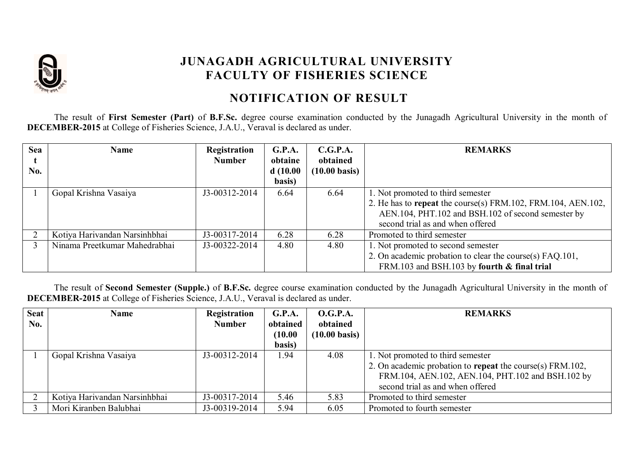

## **JUNAGADH AGRICULTURAL UNIVERSITY FACULTY OF FISHERIES SCIENCE**

## **NOTIFICATION OF RESULT**

The result of **First Semester (Part)** of **B.F.Sc.** degree course examination conducted by the Junagadh Agricultural University in the month of **DECEMBER-2015** at College of Fisheries Science, J.A.U., Veraval is declared as under.

| <b>Sea</b> | <b>Name</b>                   | Registration<br><b>Number</b> | G.P.A.<br>obtaine  | C.G.P.A.<br>obtained    | <b>REMARKS</b>                                               |
|------------|-------------------------------|-------------------------------|--------------------|-------------------------|--------------------------------------------------------------|
| No.        |                               |                               | d(10.00)<br>basis) | $(10.00 \text{ basis})$ |                                                              |
|            | Gopal Krishna Vasaiya         | J3-00312-2014                 | 6.64               | 6.64                    | 1. Not promoted to third semester                            |
|            |                               |                               |                    |                         | 2. He has to repeat the course(s) FRM.102, FRM.104, AEN.102, |
|            |                               |                               |                    |                         | AEN.104, PHT.102 and BSH.102 of second semester by           |
|            |                               |                               |                    |                         | second trial as and when offered                             |
|            | Kotiya Harivandan Narsinhbhai | J3-00317-2014                 | 6.28               | 6.28                    | Promoted to third semester                                   |
|            | Ninama Preetkumar Mahedrabhai | J3-00322-2014                 | 4.80               | 4.80                    | 1. Not promoted to second semester                           |
|            |                               |                               |                    |                         | 2. On academic probation to clear the course(s) FAQ.101,     |
|            |                               |                               |                    |                         | FRM.103 and BSH.103 by fourth & final trial                  |

 The result of **Second Semester (Supple.)** of **B.F.Sc.** degree course examination conducted by the Junagadh Agricultural University in the month of **DECEMBER-2015** at College of Fisheries Science, J.A.U., Veraval is declared as under.

| <b>Seat</b> | Name                          | Registration  | G.P.A.   | <b>O.G.P.A.</b>         | <b>REMARKS</b>                                            |
|-------------|-------------------------------|---------------|----------|-------------------------|-----------------------------------------------------------|
| No.         |                               | <b>Number</b> | obtained | obtained                |                                                           |
|             |                               |               | (10.00)  | $(10.00 \text{ basis})$ |                                                           |
|             |                               |               | basis)   |                         |                                                           |
|             | Gopal Krishna Vasaiya         | J3-00312-2014 | .94      | 4.08                    | 1. Not promoted to third semester                         |
|             |                               |               |          |                         | 2. On academic probation to repeat the course(s) FRM.102, |
|             |                               |               |          |                         | FRM.104, AEN.102, AEN.104, PHT.102 and BSH.102 by         |
|             |                               |               |          |                         | second trial as and when offered                          |
|             | Kotiya Harivandan Narsinhbhai | J3-00317-2014 | 5.46     | 5.83                    | Promoted to third semester                                |
|             | Mori Kiranben Balubhai        | J3-00319-2014 | 5.94     | 6.05                    | Promoted to fourth semester                               |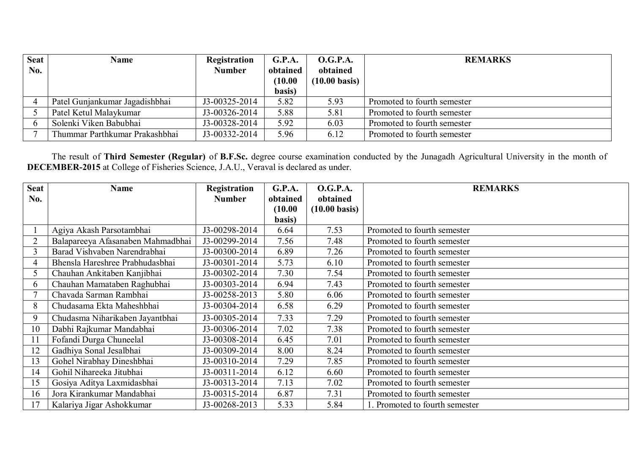| <b>Seat</b><br>No. | Name                           | Registration<br><b>Number</b> | G.P.A.<br>obtained<br>(10.00)<br>basis) | <b>O.G.P.A.</b><br>obtained<br>$(10.00 \text{ basis})$ | <b>REMARKS</b>              |
|--------------------|--------------------------------|-------------------------------|-----------------------------------------|--------------------------------------------------------|-----------------------------|
|                    | Patel Gunjankumar Jagadishbhai | J3-00325-2014                 | 5.82                                    | 5.93                                                   | Promoted to fourth semester |
|                    | Patel Ketul Malaykumar         | J3-00326-2014                 | 5.88                                    | 5.81                                                   | Promoted to fourth semester |
|                    | Solenki Viken Babubhai         | J3-00328-2014                 | 5.92                                    | 6.03                                                   | Promoted to fourth semester |
|                    | Thummar Parthkumar Prakashbhai | J3-00332-2014                 | 5.96                                    | 6.12                                                   | Promoted to fourth semester |

 The result of **Third Semester (Regular)** of **B.F.Sc.** degree course examination conducted by the Junagadh Agricultural University in the month of **DECEMBER-2015** at College of Fisheries Science, J.A.U., Veraval is declared as under.

| <b>Seat</b> | <b>Name</b>                       | <b>Registration</b> | G.P.A.   | <b>O.G.P.A.</b>         | <b>REMARKS</b>                 |
|-------------|-----------------------------------|---------------------|----------|-------------------------|--------------------------------|
| No.         |                                   | <b>Number</b>       | obtained | obtained                |                                |
|             |                                   |                     | (10.00)  | $(10.00 \text{ basis})$ |                                |
|             |                                   |                     | basis)   |                         |                                |
|             | Agiya Akash Parsotambhai          | J3-00298-2014       | 6.64     | 7.53                    | Promoted to fourth semester    |
|             | Balapareeya Afasanaben Mahmadbhai | J3-00299-2014       | 7.56     | 7.48                    | Promoted to fourth semester    |
| 3           | Barad Vishvaben Narendrabhai      | J3-00300-2014       | 6.89     | 7.26                    | Promoted to fourth semester    |
| 4           | Bhensla Hareshree Prabhudasbhai   | J3-00301-2014       | 5.73     | 6.10                    | Promoted to fourth semester    |
|             | Chauhan Ankitaben Kanjibhai       | J3-00302-2014       | 7.30     | 7.54                    | Promoted to fourth semester    |
| 6           | Chauhan Mamataben Raghubhai       | J3-00303-2014       | 6.94     | 7.43                    | Promoted to fourth semester    |
|             | Chavada Sarman Rambhai            | J3-00258-2013       | 5.80     | 6.06                    | Promoted to fourth semester    |
| 8           | Chudasama Ekta Maheshbhai         | J3-00304-2014       | 6.58     | 6.29                    | Promoted to fourth semester    |
| 9           | Chudasma Niharikaben Jayantbhai   | J3-00305-2014       | 7.33     | 7.29                    | Promoted to fourth semester    |
| 10          | Dabhi Rajkumar Mandabhai          | J3-00306-2014       | 7.02     | 7.38                    | Promoted to fourth semester    |
| 11          | Fofandi Durga Chuneelal           | J3-00308-2014       | 6.45     | 7.01                    | Promoted to fourth semester    |
| 12          | Gadhiya Sonal Jesalbhai           | J3-00309-2014       | 8.00     | 8.24                    | Promoted to fourth semester    |
| 13          | Gohel Nirabhay Dineshbhai         | J3-00310-2014       | 7.29     | 7.85                    | Promoted to fourth semester    |
| 14          | Gohil Nihareeka Jitubhai          | J3-00311-2014       | 6.12     | 6.60                    | Promoted to fourth semester    |
| 15          | Gosiya Aditya Laxmidasbhai        | J3-00313-2014       | 7.13     | 7.02                    | Promoted to fourth semester    |
| 16          | Jora Kirankumar Mandabhai         | J3-00315-2014       | 6.87     | 7.31                    | Promoted to fourth semester    |
| 17          | Kalariya Jigar Ashokkumar         | J3-00268-2013       | 5.33     | 5.84                    | 1. Promoted to fourth semester |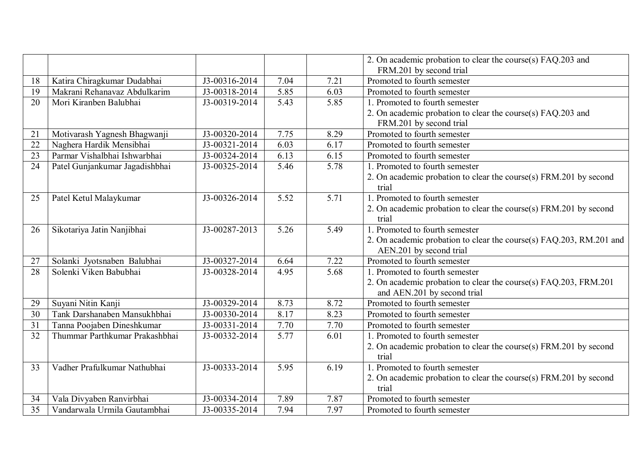|    |                                |               |                   |      | 2. On academic probation to clear the course(s) FAQ.203 and         |
|----|--------------------------------|---------------|-------------------|------|---------------------------------------------------------------------|
|    |                                |               |                   |      | FRM.201 by second trial                                             |
| 18 | Katira Chiragkumar Dudabhai    | J3-00316-2014 | 7.04              | 7.21 | Promoted to fourth semester                                         |
| 19 | Makrani Rehanavaz Abdulkarim   | J3-00318-2014 | 5.85              | 6.03 | Promoted to fourth semester                                         |
| 20 | Mori Kiranben Balubhai         | J3-00319-2014 | 5.43              | 5.85 | 1. Promoted to fourth semester                                      |
|    |                                |               |                   |      | 2. On academic probation to clear the course(s) FAQ.203 and         |
|    |                                |               |                   |      | FRM.201 by second trial                                             |
| 21 | Motivarash Yagnesh Bhagwanji   | J3-00320-2014 | 7.75              | 8.29 | Promoted to fourth semester                                         |
| 22 | Naghera Hardik Mensibhai       | J3-00321-2014 | 6.03              | 6.17 | Promoted to fourth semester                                         |
| 23 | Parmar Vishalbhai Ishwarbhai   | J3-00324-2014 | 6.13              | 6.15 | Promoted to fourth semester                                         |
| 24 | Patel Gunjankumar Jagadishbhai | J3-00325-2014 | 5.46              | 5.78 | 1. Promoted to fourth semester                                      |
|    |                                |               |                   |      | 2. On academic probation to clear the course(s) FRM.201 by second   |
|    |                                |               |                   |      | trial                                                               |
| 25 | Patel Ketul Malaykumar         | J3-00326-2014 | 5.52              | 5.71 | Promoted to fourth semester                                         |
|    |                                |               |                   |      | 2. On academic probation to clear the course(s) FRM.201 by second   |
|    |                                |               |                   |      | trial                                                               |
| 26 | Sikotariya Jatin Nanjibhai     | J3-00287-2013 | 5.26              | 5.49 | Promoted to fourth semester                                         |
|    |                                |               |                   |      | 2. On academic probation to clear the course(s) FAQ.203, RM.201 and |
|    |                                |               |                   |      | AEN.201 by second trial                                             |
| 27 | Solanki Jyotsnaben Balubhai    | J3-00327-2014 | 6.64              | 7.22 | Promoted to fourth semester                                         |
| 28 | Solenki Viken Babubhai         | J3-00328-2014 | 4.95              | 5.68 | 1. Promoted to fourth semester                                      |
|    |                                |               |                   |      | 2. On academic probation to clear the course(s) FAQ.203, FRM.201    |
|    |                                |               |                   |      | and AEN.201 by second trial                                         |
| 29 | Suyani Nitin Kanji             | J3-00329-2014 | 8.73              | 8.72 | Promoted to fourth semester                                         |
| 30 | Tank Darshanaben Mansukhbhai   | J3-00330-2014 | 8.17              | 8.23 | Promoted to fourth semester                                         |
| 31 | Tanna Poojaben Dineshkumar     | J3-00331-2014 | 7.70              | 7.70 | Promoted to fourth semester                                         |
| 32 | Thummar Parthkumar Prakashbhai | J3-00332-2014 | 5.77              | 6.01 | 1. Promoted to fourth semester                                      |
|    |                                |               |                   |      | 2. On academic probation to clear the course(s) FRM.201 by second   |
|    |                                |               |                   |      | trial                                                               |
| 33 | Vadher Prafulkumar Nathubhai   | J3-00333-2014 | $\overline{5.95}$ | 6.19 | Promoted to fourth semester                                         |
|    |                                |               |                   |      | 2. On academic probation to clear the course(s) FRM.201 by second   |
|    |                                |               |                   |      | trial                                                               |
| 34 | Vala Divyaben Ranvirbhai       | J3-00334-2014 | 7.89              | 7.87 | Promoted to fourth semester                                         |
| 35 | Vandarwala Urmila Gautambhai   | J3-00335-2014 | 7.94              | 7.97 | Promoted to fourth semester                                         |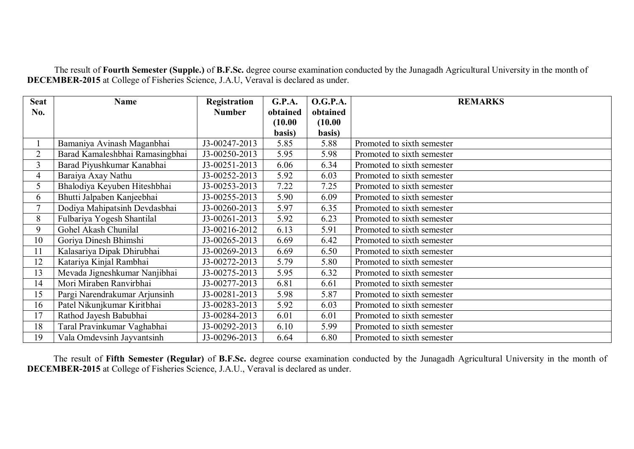The result of **Fourth Semester (Supple.)** of **B.F.Sc.** degree course examination conducted by the Junagadh Agricultural University in the month of **DECEMBER-2015** at College of Fisheries Science, J.A.U, Veraval is declared as under.

| <b>Seat</b>    | <b>Name</b>                     | <b>Registration</b> | G.P.A.   | <b>O.G.P.A.</b> | <b>REMARKS</b>             |
|----------------|---------------------------------|---------------------|----------|-----------------|----------------------------|
| No.            |                                 | <b>Number</b>       | obtained | obtained        |                            |
|                |                                 |                     | (10.00)  | (10.00)         |                            |
|                |                                 |                     | basis)   | basis)          |                            |
|                | Bamaniya Avinash Maganbhai      | J3-00247-2013       | 5.85     | 5.88            | Promoted to sixth semester |
| $\overline{2}$ | Barad Kamaleshbhai Ramasingbhai | J3-00250-2013       | 5.95     | 5.98            | Promoted to sixth semester |
| $\overline{3}$ | Barad Piyushkumar Kanabhai      | J3-00251-2013       | 6.06     | 6.34            | Promoted to sixth semester |
| $\overline{4}$ | Baraiya Axay Nathu              | J3-00252-2013       | 5.92     | 6.03            | Promoted to sixth semester |
| 5              | Bhalodiya Keyuben Hiteshbhai    | J3-00253-2013       | 7.22     | 7.25            | Promoted to sixth semester |
| 6              | Bhutti Jalpaben Kanjeebhai      | J3-00255-2013       | 5.90     | 6.09            | Promoted to sixth semester |
| $\overline{7}$ | Dodiya Mahipatsinh Devdasbhai   | J3-00260-2013       | 5.97     | 6.35            | Promoted to sixth semester |
| 8              | Fulbariya Yogesh Shantilal      | J3-00261-2013       | 5.92     | 6.23            | Promoted to sixth semester |
| 9              | Gohel Akash Chunilal            | J3-00216-2012       | 6.13     | 5.91            | Promoted to sixth semester |
| 10             | Goriya Dinesh Bhimshi           | J3-00265-2013       | 6.69     | 6.42            | Promoted to sixth semester |
| 11             | Kalasariya Dipak Dhirubhai      | J3-00269-2013       | 6.69     | 6.50            | Promoted to sixth semester |
| 12             | Katariya Kinjal Rambhai         | J3-00272-2013       | 5.79     | 5.80            | Promoted to sixth semester |
| 13             | Mevada Jigneshkumar Nanjibhai   | J3-00275-2013       | 5.95     | 6.32            | Promoted to sixth semester |
| 14             | Mori Miraben Ranvirbhai         | J3-00277-2013       | 6.81     | 6.61            | Promoted to sixth semester |
| 15             | Pargi Narendrakumar Arjunsinh   | J3-00281-2013       | 5.98     | 5.87            | Promoted to sixth semester |
| 16             | Patel Nikunjkumar Kiritbhai     | J3-00283-2013       | 5.92     | 6.03            | Promoted to sixth semester |
| 17             | Rathod Jayesh Babubhai          | J3-00284-2013       | 6.01     | 6.01            | Promoted to sixth semester |
| 18             | Taral Pravinkumar Vaghabhai     | J3-00292-2013       | 6.10     | 5.99            | Promoted to sixth semester |
| 19             | Vala Omdevsinh Jayvantsinh      | J3-00296-2013       | 6.64     | 6.80            | Promoted to sixth semester |

The result of **Fifth Semester (Regular)** of **B.F.Sc.** degree course examination conducted by the Junagadh Agricultural University in the month of **DECEMBER-2015** at College of Fisheries Science, J.A.U., Veraval is declared as under.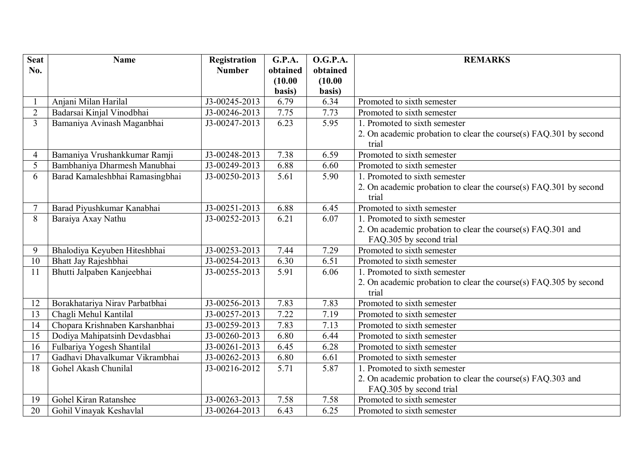| <b>Seat</b>    | <b>Name</b>                     | Registration  | <b>G.P.A.</b> | <b>O.G.P.A.</b> | <b>REMARKS</b>                                                    |
|----------------|---------------------------------|---------------|---------------|-----------------|-------------------------------------------------------------------|
| No.            |                                 | <b>Number</b> | obtained      | obtained        |                                                                   |
|                |                                 |               | (10.00)       | (10.00)         |                                                                   |
|                |                                 |               | basis)        | basis)          |                                                                   |
|                | Anjani Milan Harilal            | J3-00245-2013 | 6.79          | 6.34            | Promoted to sixth semester                                        |
| $\overline{2}$ | Badarsai Kinjal Vinodbhai       | J3-00246-2013 | 7.75          | 7.73            | Promoted to sixth semester                                        |
| $\overline{3}$ | Bamaniya Avinash Maganbhai      | J3-00247-2013 | 6.23          | 5.95            | 1. Promoted to sixth semester                                     |
|                |                                 |               |               |                 | 2. On academic probation to clear the course(s) FAQ.301 by second |
|                |                                 |               |               |                 | trial                                                             |
| 4              | Bamaniya Vrushankkumar Ramji    | J3-00248-2013 | 7.38          | 6.59            | Promoted to sixth semester                                        |
| 5              | Bambhaniya Dharmesh Manubhai    | J3-00249-2013 | 6.88          | 6.60            | Promoted to sixth semester                                        |
| 6              | Barad Kamaleshbhai Ramasingbhai | J3-00250-2013 | 5.61          | 5.90            | 1. Promoted to sixth semester                                     |
|                |                                 |               |               |                 | 2. On academic probation to clear the course(s) FAQ.301 by second |
|                |                                 |               |               |                 | trial                                                             |
| $\overline{7}$ | Barad Piyushkumar Kanabhai      | J3-00251-2013 | 6.88          | 6.45            | Promoted to sixth semester                                        |
| 8              | Baraiya Axay Nathu              | J3-00252-2013 | 6.21          | 6.07            | 1. Promoted to sixth semester                                     |
|                |                                 |               |               |                 | 2. On academic probation to clear the course(s) FAQ.301 and       |
|                |                                 |               |               |                 | FAQ.305 by second trial                                           |
| 9              | Bhalodiya Keyuben Hiteshbhai    | J3-00253-2013 | 7.44          | 7.29            | Promoted to sixth semester                                        |
| 10             | Bhatt Jay Rajeshbhai            | J3-00254-2013 | 6.30          | 6.51            | Promoted to sixth semester                                        |
| 11             | Bhutti Jalpaben Kanjeebhai      | J3-00255-2013 | 5.91          | 6.06            | 1. Promoted to sixth semester                                     |
|                |                                 |               |               |                 | 2. On academic probation to clear the course(s) FAQ.305 by second |
|                |                                 |               |               |                 | trial                                                             |
| 12             | Borakhatariya Nirav Parbatbhai  | J3-00256-2013 | 7.83          | 7.83            | Promoted to sixth semester                                        |
| 13             | Chagli Mehul Kantilal           | J3-00257-2013 | 7.22          | 7.19            | Promoted to sixth semester                                        |
| 14             | Chopara Krishnaben Karshanbhai  | J3-00259-2013 | 7.83          | 7.13            | Promoted to sixth semester                                        |
| 15             | Dodiya Mahipatsinh Devdasbhai   | J3-00260-2013 | 6.80          | 6.44            | Promoted to sixth semester                                        |
| 16             | Fulbariya Yogesh Shantilal      | J3-00261-2013 | 6.45          | 6.28            | Promoted to sixth semester                                        |
| 17             | Gadhavi Dhavalkumar Vikrambhai  | J3-00262-2013 | 6.80          | 6.61            | Promoted to sixth semester                                        |
| 18             | Gohel Akash Chunilal            | J3-00216-2012 | 5.71          | 5.87            | 1. Promoted to sixth semester                                     |
|                |                                 |               |               |                 | 2. On academic probation to clear the course(s) FAQ.303 and       |
|                |                                 |               |               |                 | FAQ.305 by second trial                                           |
| 19             | Gohel Kiran Ratanshee           | J3-00263-2013 | 7.58          | 7.58            | Promoted to sixth semester                                        |
| 20             | Gohil Vinayak Keshavlal         | J3-00264-2013 | 6.43          | 6.25            | Promoted to sixth semester                                        |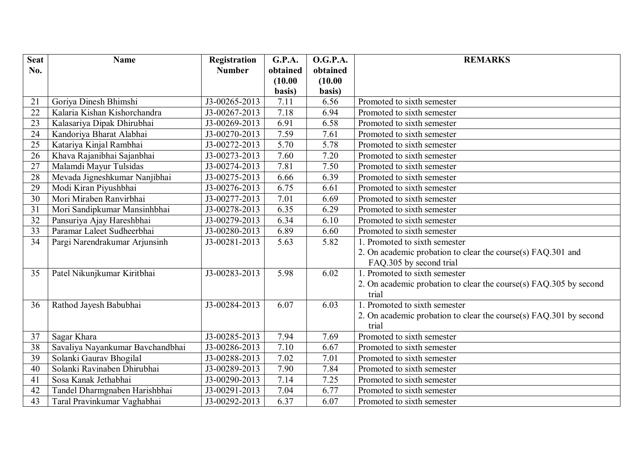| <b>Seat</b>     | <b>Name</b>                      | Registration                | <b>G.P.A.</b> | <b>O.G.P.A.</b> | <b>REMARKS</b>                                                    |
|-----------------|----------------------------------|-----------------------------|---------------|-----------------|-------------------------------------------------------------------|
| No.             |                                  | <b>Number</b>               | obtained      | obtained        |                                                                   |
|                 |                                  |                             | (10.00)       | (10.00)         |                                                                   |
|                 |                                  |                             | basis)        | basis)          |                                                                   |
| 21              | Goriya Dinesh Bhimshi            | J3-00265-2013               | 7.11          | 6.56            | Promoted to sixth semester                                        |
| 22              | Kalaria Kishan Kishorchandra     | J3-00267-2013               | 7.18          | 6.94            | Promoted to sixth semester                                        |
| 23              | Kalasariya Dipak Dhirubhai       | J3-00269-2013               | 6.91          | 6.58            | Promoted to sixth semester                                        |
| 24              | Kandoriya Bharat Alabhai         | J3-00270-2013               | 7.59          | 7.61            | Promoted to sixth semester                                        |
| $\overline{25}$ | Katariya Kinjal Rambhai          | J3-00272-2013               | 5.70          | 5.78            | Promoted to sixth semester                                        |
| 26              | Khava Rajanibhai Sajanbhai       | J3-00273-2013               | 7.60          | 7.20            | Promoted to sixth semester                                        |
| $\overline{27}$ | Malamdi Mayur Tulsidas           | J3-00274-2013               | 7.81          | 7.50            | Promoted to sixth semester                                        |
| 28              | Mevada Jigneshkumar Nanjibhai    | J3-00275-2013               | 6.66          | 6.39            | Promoted to sixth semester                                        |
| $\overline{29}$ | Modi Kiran Piyushbhai            | J3-00276-2013               | 6.75          | 6.61            | Promoted to sixth semester                                        |
| $\overline{30}$ | Mori Miraben Ranvirbhai          | J3-00277-2013               | 7.01          | 6.69            | Promoted to sixth semester                                        |
| 31              | Mori Sandipkumar Mansinhbhai     | J3-00278-2013               | 6.35          | 6.29            | Promoted to sixth semester                                        |
| 32              | Pansuriya Ajay Hareshbhai        | J3-00279-2013               | 6.34          | 6.10            | Promoted to sixth semester                                        |
| 33              | Paramar Laleet Sudheerbhai       | J3-00280-2013               | 6.89          | 6.60            | Promoted to sixth semester                                        |
| 34              | Pargi Narendrakumar Arjunsinh    | $\overline{J}$ 3-00281-2013 | 5.63          | 5.82            | 1. Promoted to sixth semester                                     |
|                 |                                  |                             |               |                 | 2. On academic probation to clear the course(s) FAQ.301 and       |
|                 |                                  |                             |               |                 | FAQ.305 by second trial                                           |
| 35              | Patel Nikunjkumar Kiritbhai      | J3-00283-2013               | 5.98          | 6.02            | 1. Promoted to sixth semester                                     |
|                 |                                  |                             |               |                 | 2. On academic probation to clear the course(s) FAQ.305 by second |
|                 |                                  |                             |               |                 | trial                                                             |
| 36              | Rathod Jayesh Babubhai           | J3-00284-2013               | 6.07          | 6.03            | 1. Promoted to sixth semester                                     |
|                 |                                  |                             |               |                 | 2. On academic probation to clear the course(s) FAQ.301 by second |
|                 |                                  |                             |               |                 | trial                                                             |
| 37              | Sagar Khara                      | J3-00285-2013               | 7.94          | 7.69            | Promoted to sixth semester                                        |
| $\overline{38}$ | Savaliya Nayankumar Bavchandbhai | J3-00286-2013               | 7.10          | 6.67            | Promoted to sixth semester                                        |
| 39              | Solanki Gaurav Bhogilal          | J3-00288-2013               | 7.02          | 7.01            | Promoted to sixth semester                                        |
| 40              | Solanki Ravinaben Dhirubhai      | J3-00289-2013               | 7.90          | 7.84            | Promoted to sixth semester                                        |
| 41              | Sosa Kanak Jethabhai             | J3-00290-2013               | 7.14          | 7.25            | Promoted to sixth semester                                        |
| 42              | Tandel Dharmgnaben Harishbhai    | J3-00291-2013               | 7.04          | 6.77            | Promoted to sixth semester                                        |
| 43              | Taral Pravinkumar Vaghabhai      | J3-00292-2013               | 6.37          | 6.07            | Promoted to sixth semester                                        |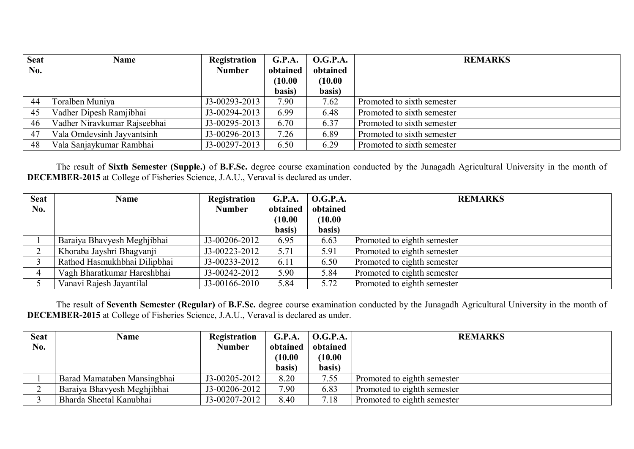| <b>Seat</b> | <b>Name</b>                  | Registration  | G.P.A.   | <b>O.G.P.A.</b> | <b>REMARKS</b>             |
|-------------|------------------------------|---------------|----------|-----------------|----------------------------|
| No.         |                              | <b>Number</b> | obtained | obtained        |                            |
|             |                              |               | (10.00)  | (10.00)         |                            |
|             |                              |               | basis)   | basis)          |                            |
| 44          | Toralben Muniya              | J3-00293-2013 | 7.90     | 7.62            | Promoted to sixth semester |
| 45          | Vadher Dipesh Ramjibhai      | J3-00294-2013 | 6.99     | 6.48            | Promoted to sixth semester |
| 46          | Vadher Niravkumar Rajseebhai | J3-00295-2013 | 6.70     | 6.37            | Promoted to sixth semester |
| 47          | Vala Omdevsinh Jayvantsinh   | J3-00296-2013 | 7.26     | 6.89            | Promoted to sixth semester |
| 48          | Vala Sanjaykumar Rambhai     | J3-00297-2013 | 6.50     | 6.29            | Promoted to sixth semester |

 The result of **Sixth Semester (Supple.)** of **B.F.Sc.** degree course examination conducted by the Junagadh Agricultural University in the month of **DECEMBER-2015** at College of Fisheries Science, J.A.U., Veraval is declared as under.

| <b>Seat</b> | <b>Name</b>                  | Registration  | G.P.A.   | <b>O.G.P.A.</b> | <b>REMARKS</b>              |
|-------------|------------------------------|---------------|----------|-----------------|-----------------------------|
| No.         |                              | <b>Number</b> | obtained | obtained        |                             |
|             |                              |               | (10.00)  | (10.00)         |                             |
|             |                              |               | basis)   | basis)          |                             |
|             | Baraiya Bhavyesh Meghjibhai  | J3-00206-2012 | 6.95     | 6.63            | Promoted to eighth semester |
|             | Khoraba Jayshri Bhagyanji    | J3-00223-2012 | 5.71     | 5.91            | Promoted to eighth semester |
|             | Rathod Hasmukhbhai Dilipbhai | J3-00233-2012 | 6.11     | 6.50            | Promoted to eighth semester |
|             | Vagh Bharatkumar Hareshbhai  | J3-00242-2012 | 5.90     | 5.84            | Promoted to eighth semester |
|             | Vanavi Rajesh Jayantilal     | J3-00166-2010 | 5.84     | 5.72            | Promoted to eighth semester |

 The result of **Seventh Semester (Regular)** of **B.F.Sc.** degree course examination conducted by the Junagadh Agricultural University in the month of **DECEMBER-2015** at College of Fisheries Science, J.A.U., Veraval is declared as under.

| <b>Seat</b> | <b>Name</b>                 | Registration  | G.P.A.   | <b>O.G.P.A.</b> | <b>REMARKS</b>              |
|-------------|-----------------------------|---------------|----------|-----------------|-----------------------------|
| No.         |                             | <b>Number</b> | obtained | obtained        |                             |
|             |                             |               | (10.00)  | (10.00)         |                             |
|             |                             |               | basis)   | basis)          |                             |
|             | Barad Mamataben Mansingbhai | J3-00205-2012 | 8.20     | 7.55            | Promoted to eighth semester |
|             | Baraiya Bhavyesh Meghjibhai | J3-00206-2012 | 7.90     | 6.83            | Promoted to eighth semester |
|             | Bharda Sheetal Kanubhai     | J3-00207-2012 | 8.40     | 7.18            | Promoted to eighth semester |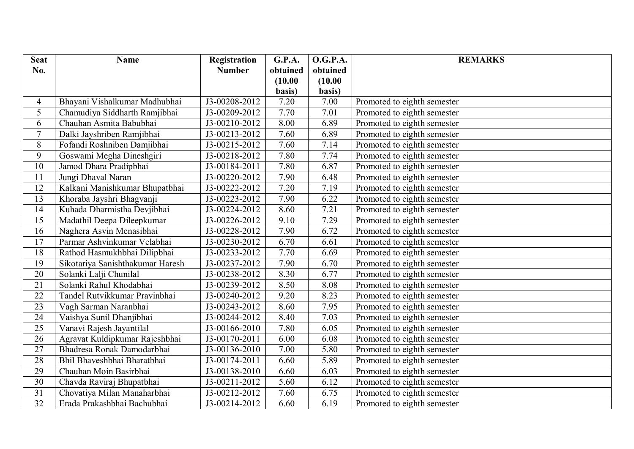| <b>Seat</b>     | <b>Name</b>                      | Registration  | G.P.A.   | <b>O.G.P.A.</b> | <b>REMARKS</b>              |
|-----------------|----------------------------------|---------------|----------|-----------------|-----------------------------|
| No.             |                                  | <b>Number</b> | obtained | obtained        |                             |
|                 |                                  |               | (10.00)  | (10.00)         |                             |
|                 |                                  |               | basis)   | basis)          |                             |
| 4               | Bhayani Vishalkumar Madhubhai    | J3-00208-2012 | 7.20     | 7.00            | Promoted to eighth semester |
| 5               | Chamudiya Siddharth Ramjibhai    | J3-00209-2012 | 7.70     | 7.01            | Promoted to eighth semester |
| 6               | Chauhan Asmita Babubhai          | J3-00210-2012 | 8.00     | 6.89            | Promoted to eighth semester |
| $\overline{7}$  | Dalki Jayshriben Ramjibhai       | J3-00213-2012 | 7.60     | 6.89            | Promoted to eighth semester |
| 8               | Fofandi Roshniben Damjibhai      | J3-00215-2012 | 7.60     | 7.14            | Promoted to eighth semester |
| 9               | Goswami Megha Dineshgiri         | J3-00218-2012 | 7.80     | 7.74            | Promoted to eighth semester |
| 10              | Jamod Dhara Pradipbhai           | J3-00184-2011 | 7.80     | 6.87            | Promoted to eighth semester |
| 11              | Jungi Dhaval Naran               | J3-00220-2012 | 7.90     | 6.48            | Promoted to eighth semester |
| 12              | Kalkani Manishkumar Bhupatbhai   | J3-00222-2012 | 7.20     | 7.19            | Promoted to eighth semester |
| 13              | Khoraba Jayshri Bhagvanji        | J3-00223-2012 | 7.90     | 6.22            | Promoted to eighth semester |
| 14              | Kuhada Dharmistha Devjibhai      | J3-00224-2012 | 8.60     | 7.21            | Promoted to eighth semester |
| 15              | Madathil Deepa Dileepkumar       | J3-00226-2012 | 9.10     | 7.29            | Promoted to eighth semester |
| 16              | Naghera Asvin Menasibhai         | J3-00228-2012 | 7.90     | 6.72            | Promoted to eighth semester |
| 17              | Parmar Ashvinkumar Velabhai      | J3-00230-2012 | 6.70     | 6.61            | Promoted to eighth semester |
| 18              | Rathod Hasmukhbhai Dilipbhai     | J3-00233-2012 | 7.70     | 6.69            | Promoted to eighth semester |
| 19              | Sikotariya Sanishthakumar Haresh | J3-00237-2012 | 7.90     | 6.70            | Promoted to eighth semester |
| 20              | Solanki Lalji Chunilal           | J3-00238-2012 | 8.30     | 6.77            | Promoted to eighth semester |
| 21              | Solanki Rahul Khodabhai          | J3-00239-2012 | 8.50     | 8.08            | Promoted to eighth semester |
| 22              | Tandel Rutvikkumar Pravinbhai    | J3-00240-2012 | 9.20     | 8.23            | Promoted to eighth semester |
| 23              | Vagh Sarman Naranbhai            | J3-00243-2012 | 8.60     | 7.95            | Promoted to eighth semester |
| 24              | Vaishya Sunil Dhanjibhai         | J3-00244-2012 | 8.40     | 7.03            | Promoted to eighth semester |
| 25              | Vanavi Rajesh Jayantilal         | J3-00166-2010 | 7.80     | 6.05            | Promoted to eighth semester |
| $\overline{26}$ | Agravat Kuldipkumar Rajeshbhai   | J3-00170-2011 | 6.00     | 6.08            | Promoted to eighth semester |
| 27              | Bhadresa Ronak Damodarbhai       | J3-00136-2010 | 7.00     | 5.80            | Promoted to eighth semester |
| 28              | Bhil Bhaveshbhai Bharatbhai      | J3-00174-2011 | 6.60     | 5.89            | Promoted to eighth semester |
| 29              | Chauhan Moin Basirbhai           | J3-00138-2010 | 6.60     | 6.03            | Promoted to eighth semester |
| 30              | Chavda Raviraj Bhupatbhai        | J3-00211-2012 | 5.60     | 6.12            | Promoted to eighth semester |
| 31              | Chovatiya Milan Manaharbhai      | J3-00212-2012 | 7.60     | 6.75            | Promoted to eighth semester |
| 32              | Erada Prakashbhai Bachubhai      | J3-00214-2012 | 6.60     | 6.19            | Promoted to eighth semester |